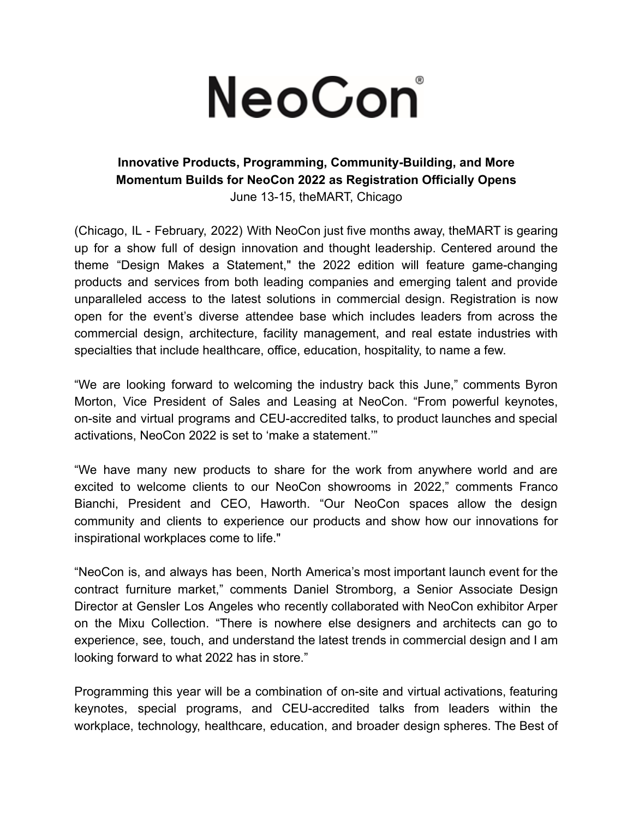## NeoCon®

## **Innovative Products, Programming, Community-Building, and More Momentum Builds for NeoCon 2022 as Registration Officially Opens** June 13-15, theMART, Chicago

(Chicago, IL - February, 2022) With NeoCon just five months away, theMART is gearing up for a show full of design innovation and thought leadership. Centered around the theme "Design Makes a Statement," the 2022 edition will feature game-changing products and services from both leading companies and emerging talent and provide unparalleled access to the latest solutions in commercial design. Registration is now open for the event's diverse attendee base which includes leaders from across the commercial design, architecture, facility management, and real estate industries with specialties that include healthcare, office, education, hospitality, to name a few.

"We are looking forward to welcoming the industry back this June," comments Byron Morton, Vice President of Sales and Leasing at NeoCon. "From powerful keynotes, on-site and virtual programs and CEU-accredited talks, to product launches and special activations, NeoCon 2022 is set to 'make a statement.'"

"We have many new products to share for the work from anywhere world and are excited to welcome clients to our NeoCon showrooms in 2022," comments Franco Bianchi, President and CEO, Haworth. "Our NeoCon spaces allow the design community and clients to experience our products and show how our innovations for inspirational workplaces come to life."

"NeoCon is, and always has been, North America's most important launch event for the contract furniture market," comments Daniel Stromborg, a Senior Associate Design Director at Gensler Los Angeles who recently collaborated with NeoCon exhibitor Arper on the Mixu Collection. "There is nowhere else designers and architects can go to experience, see, touch, and understand the latest trends in commercial design and I am looking forward to what 2022 has in store."

Programming this year will be a combination of on-site and virtual activations, featuring keynotes, special programs, and CEU-accredited talks from leaders within the workplace, technology, healthcare, education, and broader design spheres. The Best of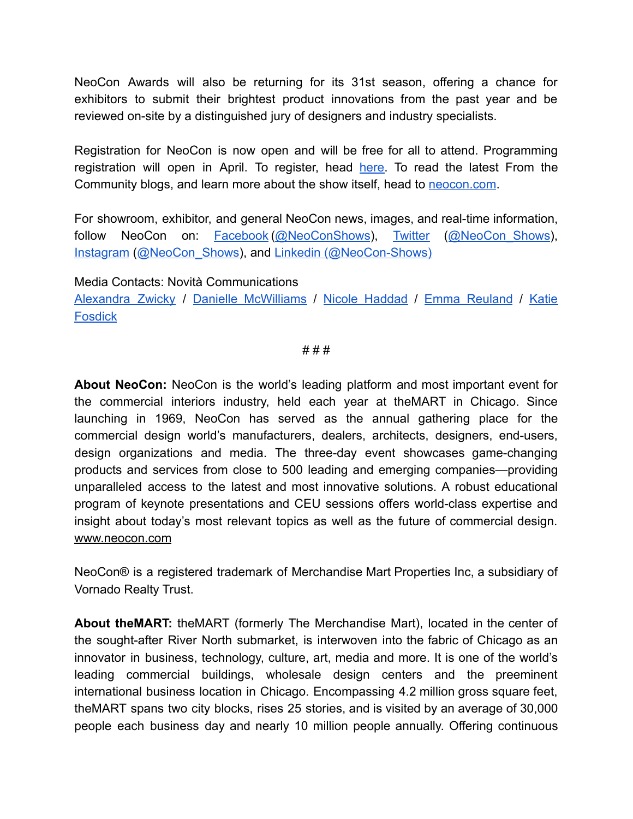NeoCon Awards will also be returning for its 31st season, offering a chance for exhibitors to submit their brightest product innovations from the past year and be reviewed on-site by a distinguished jury of designers and industry specialists.

Registration for NeoCon is now open and will be free for all to attend. Programming registration will open in April. To register, head [here.](https://neocon.com/registerndee/lookup.asp?sh=PR) To read the latest From the Community blogs, and learn more about the show itself, head to [neocon.com](http://neocon.com).

For showroom, exhibitor, and general NeoCon news, images, and real-time information, follow NeoCon on: [Facebook](https://www.facebook.com/neoconshows/?ref=br_rs) [\(@NeoConShows](https://www.facebook.com/neoconshows/)), [Twitter](https://twitter.com/neocon_shows?lang=en) (@NeoCon Shows), [Instagram](https://www.instagram.com/neocon_shows/?hl=en) ([@NeoCon\\_Shows\)](https://www.instagram.com/neocon_shows/?hl=en), and [Linkedin \(@NeoCon-Shows\)](https://www.linkedin.com/company/neocon-shows/)

Media Contacts: Novità Communications

[Alexandra](mailto:alexandra@novitapr.com) Zwicky / Danielle [McWilliams](mailto:danielle@novitapr.com) / Nicole [Haddad](mailto:nic@novitapr.com) / Emma [Reuland](mailto:emma@novitapr.com) / [Katie](mailto:katiefosdick@novitapr.com) **[Fosdick](mailto:katiefosdick@novitapr.com)** 

# # #

**About NeoCon:** NeoCon is the world's leading platform and most important event for the commercial interiors industry, held each year at theMART in Chicago. Since launching in 1969, NeoCon has served as the annual gathering place for the commercial design world's manufacturers, dealers, architects, designers, end-users, design organizations and media. The three-day event showcases game-changing products and services from close to 500 leading and emerging companies—providing unparalleled access to the latest and most innovative solutions. A robust educational program of keynote presentations and CEU sessions offers world-class expertise and insight about today's most relevant topics as well as the future of commercial design[.](https://novitapr.us19.list-manage.com/track/click?u=f2437c341c2d477889d2e3931&id=009ec41c49&e=cda661e2e2) [www.neocon.com](https://novitapr.us19.list-manage.com/track/click?u=f2437c341c2d477889d2e3931&id=009ec41c49&e=cda661e2e2)

NeoCon® is a registered trademark of Merchandise Mart Properties Inc, a subsidiary of Vornado Realty Trust.

**About theMART:** theMART (formerly The Merchandise Mart), located in the center of the sought-after River North submarket, is interwoven into the fabric of Chicago as an innovator in business, technology, culture, art, media and more. It is one of the world's leading commercial buildings, wholesale design centers and the preeminent international business location in Chicago. Encompassing 4.2 million gross square feet, theMART spans two city blocks, rises 25 stories, and is visited by an average of 30,000 people each business day and nearly 10 million people annually. Offering continuous